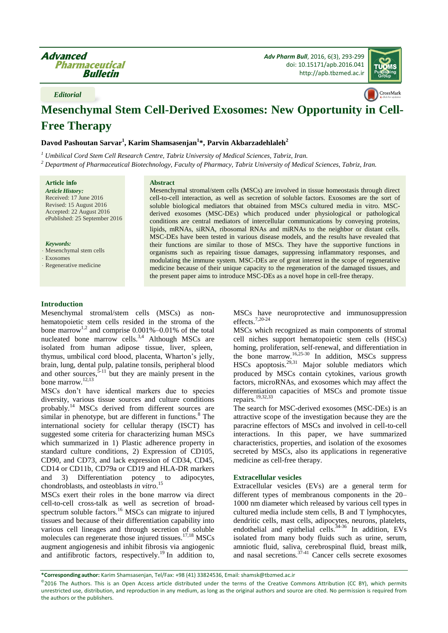*Adv Pharm Bull*, 2016, 6(3), 293-299 doi[: 10.15171/apb.2016.041](http://dx.doi.org/10.15171/apb.2016.041) [http://apb.tbzmed.ac.ir](http://apb.tbzmed.ac.ir/)



*Editorial*

# **Mesenchymal Stem Cell-Derived Exosomes: New Opportunity in Cell-Free Therapy**

**Davod Pashoutan Sarvar<sup>1</sup> , Karim Shamsasenjan<sup>1</sup> \*, Parvin Akbarzadehlaleh<sup>2</sup>**

*<sup>1</sup> Umbilical Cord Stem Cell Research Centre, Tabriz University of Medical Sciences, Tabriz, Iran.*

*<sup>2</sup> Department of Pharmaceutical Biotechnology, Faculty of Pharmacy, Tabriz University of Medical Sciences, Tabriz, Iran.*

**Article info** *Article History:* Received: 17 June 2016 Revised: 15 August 2016 Accepted: 22 August 2016 ePublished: 25 September 2016

*Keywords:*

Mesenchymal stem cells

Exosomes

Regenerative medicine

#### **Abstract**

Mesenchymal stromal/stem cells (MSCs) are involved in tissue homeostasis through direct cell-to-cell interaction, as well as secretion of soluble factors. Exosomes are the sort of soluble biological mediators that obtained from MSCs cultured media in vitro. MSCderived exosomes (MSC-DEs) which produced under physiological or pathological conditions are central mediators of intercellular communications by conveying proteins, lipids, mRNAs, siRNA, ribosomal RNAs and miRNAs to the neighbor or distant cells. MSC-DEs have been tested in various disease models, and the results have revealed that their functions are similar to those of MSCs. They have the supportive functions in organisms such as repairing tissue damages, suppressing inflammatory responses, and modulating the immune system. MSC-DEs are of great interest in the scope of regenerative medicine because of their unique capacity to the regeneration of the damaged tissues, and the present paper aims to introduce MSC-DEs as a novel hope in cell-free therapy.

## **Introduction**

Mesenchymal stromal/stem cells (MSCs) as nonhematopoietic stem cells resided in the stroma of the bone marrow<sup>[1,](#page-2-0)[2](#page-2-1)</sup> and comprise  $0.001\% - 0.01\%$  of the total nucleated bone marrow cells.<sup>[3,](#page-2-2)[4](#page-3-0)</sup> Although MSCs are isolated from human adipose tissue, liver, spleen, thymus, umbilical cord blood, placenta, Wharton's jelly, brain, lung, dental pulp, palatine tonsils, peripheral blood and other sources,  $\frac{5-11}{1}$  $\frac{5-11}{1}$  $\frac{5-11}{1}$  but they are mainly present in the bone marrow.[12,](#page-3-2)[13](#page-3-3)

MSCs don't have identical markers due to species diversity, various tissue sources and culture conditions probably.[14](#page-3-4) MSCs derived from different sources are similar in phenotype, but are different in functions.<sup>[8](#page-3-5)</sup> The international society for cellular therapy (ISCT) has suggested some criteria for characterizing human MSCs which summarized in 1) Plastic adherence property in standard culture conditions, 2) Expression of CD105, CD90, and CD73, and lack expression of CD34, CD45, CD14 or CD11b, CD79a or CD19 and HLA-DR markers and 3) Differentiation potency to adipocytes, chondroblasts, and osteoblasts *in vitro*. [15](#page-3-6)

MSCs exert their roles in the bone marrow via direct cell-to-cell cross-talk as well as secretion of broad-spectrum soluble factors.<sup>[16](#page-3-7)</sup> MSCs can migrate to injured tissues and because of their differentiation capability into various cell lineages and through secretion of soluble molecules can regenerate those injured tissues. $17,18$  $17,18$  MSCs augment angiogenesis and inhibit fibrosis via angiogenic and antifibrotic factors, respectively. [19](#page-3-10) In addition to, MSCs have neuroprotective and immunosuppression effects.[7,](#page-3-11)[20-24](#page-3-12)

MSCs which recognized as main components of stromal cell niches support hematopoietic stem cells (HSCs) homing, proliferation, self-renewal, and differentiation in the bone marrow.<sup>[16,](#page-3-7)[25-30](#page-3-13)</sup> In addition, MSCs suppress HSCs apoptosis. $29,31$  $29,31$  Major soluble mediators which produced by MSCs contain cytokines, various growth factors, microRNAs, and exosomes which may affect the differentiation capacities of MSCs and promote tissue repairs.[19,](#page-3-10)[32,](#page-4-2)[33](#page-4-3)

The search for MSC-derived exosomes (MSC-DEs) is an attractive scope of the investigation because they are the paracrine effectors of MSCs and involved in cell-to-cell interactions. In this paper, we have summarized characteristics, properties, and isolation of the exosomes secreted by MSCs, also its applications in regenerative medicine as cell-free therapy.

#### **Extracellular vesicles**

Extracellular vesicles (EVs) are a general term for different types of membranous components in the 20– 1000 nm diameter which released by various cell types in cultured media include stem cells, B and T lymphocytes, dendritic cells, mast cells, adipocytes, neurons, platelets, endothelial and epithelial cells. $34-36$  In addition, EVs isolated from many body fluids such as urine, serum, amniotic fluid, saliva, cerebrospinal fluid, breast milk, and nasal secretions.<sup>[37-41](#page-4-5)</sup> Cancer cells secrete exosomes

**\*Corresponding author:** Karim Shamsasenjan, Tel/Fax: +98 (41) 33824536, Email: shamsk@tbzmed.ac.ir

<sup>©2016</sup> The Authors. This is an Open Access article distributed under the terms of the Creative Commons Attribution (CC BY), which permits unrestricted use, distribution, and reproduction in any medium, as long as the original authors and source are cited. No permission is required from the authors or the publishers.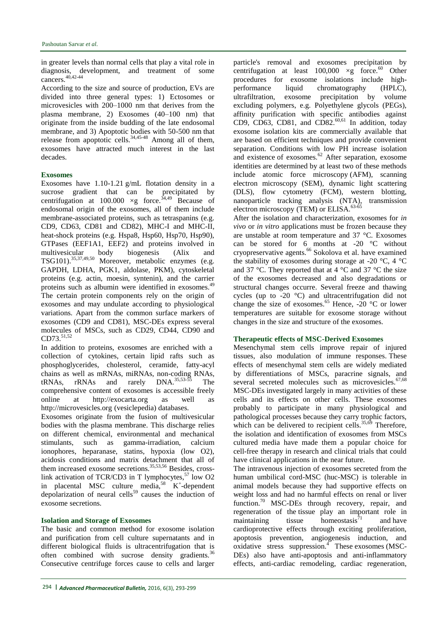in greater levels than normal cells that play a vital role in diagnosis, development, and treatment of some cancers.[40,](#page-4-6)[42-44](#page-4-7)

According to the size and source of production, EVs are divided into three general types: 1) Ectosomes or microvesicles with 200–1000 nm that derives from the plasma membrane, 2) Exosomes (40–100 nm) that originate from the inside budding of the late endosomal membrane, and 3) Apoptotic bodies with 50-500 nm that release from apoptotic cells. $34,45-48$  $34,45-48$  Among all of them, exosomes have attracted much interest in the last decades.

### **Exosomes**

Exosomes have 1.10-1.21 g/mL flotation density in a sucrose gradient that can be precipitated by centrifugation at 100.000  $\times$ g force.<sup>[34,](#page-4-4)[49](#page-4-9)</sup> Because of endosomal origin of the exosomes, all of them include membrane-associated proteins, such as tetraspanins (e.g. CD9, CD63, CD81 and CD82), MHC-I and MHC-II, heat-shock proteins (e.g. Hspa8, Hsp60, Hsp70, Hsp90), GTPases (EEF1A1, EEF2) and proteins involved in multivesicular body biogenesis (Alix and TSG101).[35,](#page-4-10)[37,](#page-4-5)[49](#page-4-9)[,50](#page-4-11) Moreover, metabolic enzymes (e.g. GAPDH, LDHA, PGK1, aldolase, PKM), cytoskeletal proteins (e.g. actin, moesin, syntenin), and the carrier proteins such as albumin were identified in exosomes.<sup>[49](#page-4-9)</sup> The certain protein components rely on the origin of exosomes and may undulate according to physiological variations. Apart from the common surface markers of exosomes (CD9 and CD81), MSC-DEs express several molecules of MSCs, such as CD29, CD44, CD90 and CD73.<sup>[51,](#page-4-12)[52](#page-4-13)</sup>

In addition to proteins, exosomes are enriched with a collection of cytokines, certain lipid rafts such as phosphoglycerides, cholesterol, ceramide, fatty-acyl chains as well as mRNAs, miRNAs, non-coding RNAs,  $tRNAs$ ,  $rRNAs$  and  $rarely$   $DNA$ .  $35,53-55$  $35,53-55$  The comprehensive content of exosomes is accessible freely online at http://exocarta.org as well as http://microvesicles.org (vesiclepedia) databases.

Exosomes originate from the fusion of multivesicular bodies with the plasma membrane. This discharge relies on different chemical, environmental and mechanical stimulants, such as gamma-irradiation, calcium ionophores, heparanase, statins, hypoxia (low O2), acidosis conditions and matrix detachment that all of them increased exosome secretions.<sup>[35,](#page-4-10)[53,](#page-4-14)[56](#page-5-0)</sup> Besides, crosslink activation of TCR/CD3 in T lymphocytes, $57$  low O2 in placental MSC culture media,<sup>[58](#page-5-2)</sup>  $K^+$ -dependent depolarization of neural cells<sup>[59](#page-5-3)</sup> causes the induction of exosome secretions.

#### **Isolation and Storage of Exosomes**

The basic and common method for exosome isolation and purification from cell culture supernatants and in different biological fluids is ultracentrifugation that is often combined with sucrose density gradients.<sup>[36](#page-4-15)</sup> Consecutive centrifuge forces cause to cells and larger

particle's removal and exosomes precipitation by centrifugation at least  $100,000 \times g$  force.<sup>[60](#page-5-4)</sup> Other procedures for exosome isolations include highperformance liquid chromatography (HPLC), ultrafiltration, exosome precipitation by volume excluding polymers, e.g. Polyethylene glycols (PEGs), affinity purification with specific antibodies against CD9, CD63, CD81, and CD82. $^{60,61}$  $^{60,61}$  $^{60,61}$  $^{60,61}$  In addition, today exosome isolation kits are commercially available that are based on efficient techniques and provide convenient separation. Conditions with low PH increase isolation and existence of exosomes.<sup>[62](#page-5-6)</sup> After separation, exosome identities are determined by at least two of these methods include atomic force microscopy (AFM), scanning electron microscopy (SEM), dynamic light scattering (DLS), flow cytometry (FCM), western blotting, nanoparticle tracking analysis (NTA), transmission electron microscopy (TEM) or ELISA.<sup>[63-65](#page-5-7)</sup>

After the isolation and characterization, exosomes for *in vivo* or *in vitro* applications must be frozen because they are unstable at room temperature and 37 °C. Exosomes can be stored for 6 months at -20  $\degree$ C without cryopreservative agents.<sup>[66](#page-5-8)</sup> Sokolova et al. have examined the stability of exosomes during storage at -20 °C, 4 °C and 37 °C. They reported that at 4 °C and 37 °C the size of the exosomes decreased and also degradations or structural changes occurre. Several freeze and thawing cycles (up to -20 °C) and ultracentrifugation did not change the size of exosomes.<sup>[65](#page-5-9)</sup> Hence,  $-20^\circ$ C or lower temperatures are suitable for exosome storage without changes in the size and structure of the exosomes.

#### **Therapeutic effects of MSC-Derived Exosomes**

Mesenchymal stem cells improve repair of injured tissues, also modulation of immune responses. These effects of mesenchymal stem cells are widely mediated by differentiations of MSCs, paracrine signals, and several secreted molecules such as microvesicles.<sup>[67,](#page-5-10)[68](#page-5-11)</sup> MSC-DEs investigated largely in many activities of these cells and its effects on other cells. These exosomes probably to participate in many physiological and pathological processes because they carry trophic factors, which can be delivered to recipient cells.<sup>[35,](#page-4-10)[69](#page-5-12)</sup> Therefore, the isolation and identification of exosomes from MSCs cultured media have made them a popular choice for cell-free therapy in research and clinical trials that could have clinical applications in the near future.

The intravenous injection of exosomes secreted from the human umbilical cord-MSC (huc-MSC) is tolerable in animal models because they had supportive effects on weight loss and had no harmful effects on renal or liver function.<sup>[70](#page-5-13)</sup> MSC-DEs through recovery, repair, and regeneration of the tissue play an important role in maintaining tissue homeostasis<sup>[71](#page-5-14)</sup> and have cardioprotective effects through exciting proliferation, apoptosis prevention, angiogenesis induction, and  $\alpha$ xidative stress suppression[.](#page-3-0)<sup>4</sup> These exosomes (MSC-DEs) also have anti-apoptosis and anti-inflammatory effects, anti-cardiac remodeling, cardiac regeneration,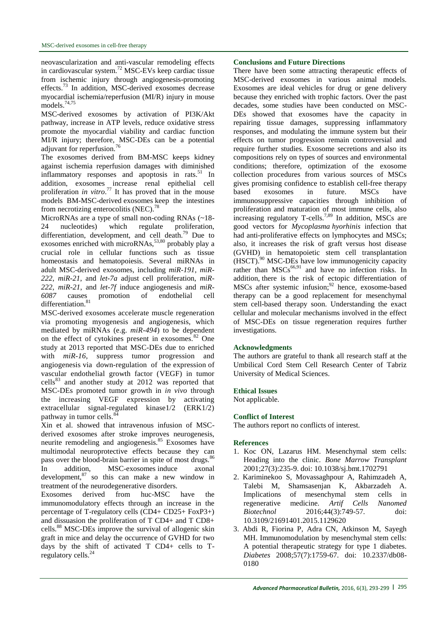neovascularization and anti-vascular remodeling effects in cardiovascular system.[72](#page-5-15) MSC-EVs keep cardiac tissue from ischemic injury through angiogenesis-promoting effects.[73](#page-5-16) In addition, MSC-derived exosomes decrease myocardial ischemia/reperfusion (MI/R) injury in mouse models.<sup>[74,](#page-5-17)[75](#page-5-18)</sup>

MSC-derived exosomes by activation of PI3K/Akt pathway, increase in ATP levels, reduce oxidative stress promote the myocardial viability and cardiac function MI/R injury; therefore, MSC-DEs can be a potential adjuvant for reperfusion.<sup>7</sup>

The exosomes derived from BM-MSC keeps kidney against ischemia reperfusion damages with diminished inflammatory responses and apoptosis in rats. $51$  In addition, exosomes increase renal epithelial cell proliferation *in vitro*. [77](#page-5-20) It has proved that in the mouse models BM-MSC-derived exosomes keep the intestines from necrotizing enterocolitis (NEC).<sup>[78](#page-6-0)</sup>

MicroRNAs are a type of small non-coding RNAs (~18- 24 nucleotides) which regulate proliferation, differentiation, development, and cell death.<sup>[79](#page-6-1)</sup> Due to exosomes enriched with microRNAs,<sup>[53,](#page-4-14)[80](#page-6-2)</sup> probably play a crucial role in cellular functions such as tissue homeostasis and hematopoiesis. Several miRNAs in adult MSC-derived exosomes, including *miR-191*, *miR-222*, *miR-21*, and *let-7a* adjust cell proliferation, *miR-222*, *miR-21*, and *let-7f* induce angiogenesis and *miR-6087* causes promotion of endothelial cell differentiation.<sup>[81](#page-6-3)</sup>

MSC-derived exosomes accelerate muscle regeneration via promoting myogenesis and angiogenesis, which mediated by miRNAs (e.g. *miR-494*) to be dependent on the effect of cytokines present in exosomes.<sup>[82](#page-6-4)</sup> One study at 2013 reported that MSC-DEs due to enriched with  $miR-16$ , suppress tumor progression and angiogenesis via down-regulation of the expression of vascular endothelial growth factor (VEGF) in tumor  $cells<sup>83</sup>$  $cells<sup>83</sup>$  $cells<sup>83</sup>$  and another study at 2012 was reported that MSC-DEs promoted tumor growth in *in vivo* through the increasing VEGF expression by activating extracellular signal-regulated kinase1/2 (ERK1/2) pathway in tumor cells.<sup>[84](#page-6-6)</sup>

Xin et al. showed that intravenous infusion of MSCderived exosomes after stroke improves neurogenesis, neurite remodeling and angiogenesis.<sup>[85](#page-6-7)</sup> Exosomes have multimodal neuroprotective effects because they can pass over the blood-brain barrier in spite of most drugs.<sup>[86](#page-6-8)</sup> In addition, MSC-exosomes induce axonal development, $87$  so this can make a new window in

treatment of the neurodegenerative disorders.<br>Exosomes derived from huc-MSC Exosomes derived from huc-MSC have the immunomodulatory effects through an increase in the percentage of T-regulatory cells (CD4+ CD25+ FoxP3+) and dissuasion the proliferation of T CD4+ and T CD8+ cells.[88](#page-6-10) MSC-DEs improve the survival of allogenic skin graft in mice and delay the occurrence of GVHD for two days by the shift of activated T CD4+ cells to T-regulatory cells.<sup>[24](#page-3-14)</sup>

### **Conclusions and Future Directions**

There have been some attracting therapeutic effects of MSC-derived exosomes in various animal models. Exosomes are ideal vehicles for drug or gene delivery because they enriched with trophic factors. Over the past decades, some studies have been conducted on MSC-DEs showed that exosomes have the capacity in repairing tissue damages, suppressing inflammatory responses, and modulating the immune system but their effects on tumor progression remain controversial and require further studies. Exosome secretions and also its compositions rely on types of sources and environmental conditions; therefore, optimization of the exosome collection procedures from various sources of MSCs gives promising confidence to establish cell-free therapy based exosomes in future. MSCs have immunosuppressive capacities through inhibition of proliferation and maturation of most immune cells, also increasing regulatory T-cells.<sup>[7,](#page-3-11)[89](#page-6-11)</sup> In addition, MSCs are good vectors for *Mycoplasma hyorhinis* infection that had anti-proliferative effects on lymphocytes and MSCs; also, it increases the risk of graft versus host disease (GVHD) in hematopoietic stem cell transplantation (HSCT).[90](#page-6-12) MSC-DEs have low immunogenicity capacity rather than  $MSCs^{66,91}$  $MSCs^{66,91}$  $MSCs^{66,91}$  $MSCs^{66,91}$  and have no infection risks. In addition, there is the risk of ectopic differentiation of MSCs after systemic infusion;<sup>[92](#page-6-14)</sup> hence, exosome-based therapy can be a good replacement for mesenchymal stem cell-based therapy soon. Understanding the exact cellular and molecular mechanisms involved in the effect of MSC-DEs on tissue regeneration requires further investigations.

## **Acknowledgments**

The authors are grateful to thank all research staff at the Umbilical Cord Stem Cell Research Center of Tabriz University of Medical Sciences.

#### **Ethical Issues**

Not applicable.

## **Conflict of Interest**

The authors report no conflicts of interest.

#### **References**

- <span id="page-2-0"></span>1. Koc ON, Lazarus HM. Mesenchymal stem cells: Heading into the clinic. *Bone Marrow Transplant* 2001;27(3):235-9. doi: 10.1038/sj.bmt.1702791
- <span id="page-2-1"></span>2. Kariminekoo S, Movassaghpour A, Rahimzadeh A, Talebi M, Shamsasenjan K, Akbarzadeh A. of mesenchymal stem cells in regenerative medicine. *Artif Cells Nanomed Biotechnol* 2016;44(3):749-57. doi: 10.3109/21691401.2015.1129620
- <span id="page-2-2"></span>3. Abdi R, Fiorina P, Adra CN, Atkinson M, Sayegh MH. Immunomodulation by mesenchymal stem cells: A potential therapeutic strategy for type 1 diabetes. *Diabetes* 2008;57(7):1759-67. doi: 10.2337/db08- 0180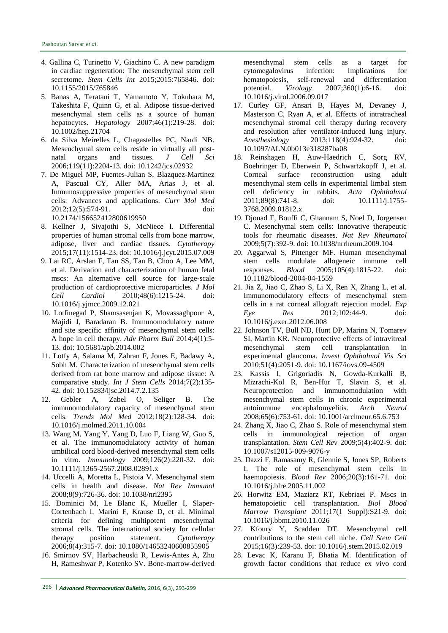- <span id="page-3-0"></span>4. Gallina C, Turinetto V, Giachino C. A new paradigm in cardiac regeneration: The mesenchymal stem cell secretome. *Stem Cells Int* 2015;2015:765846. doi: 10.1155/2015/765846
- <span id="page-3-1"></span>5. Banas A, Teratani T, Yamamoto Y, Tokuhara M, Takeshita F, Quinn G, et al. Adipose tissue-derived mesenchymal stem cells as a source of human hepatocytes. *Hepatology* 2007;46(1):219-28. doi: 10.1002/hep.21704
- 6. da Silva Meirelles L, Chagastelles PC, Nardi NB. Mesenchymal stem cells reside in virtually all postnatal organs and tissues. *J Cell Sci* 2006;119(11):2204-13. doi: 10.1242/jcs.02932
- <span id="page-3-11"></span>7. De Miguel MP, Fuentes-Julian S, Blazquez-Martinez A, Pascual CY, Aller MA, Arias J, et al. Immunosuppressive properties of mesenchymal stem cells: Advances and applications. *Curr Mol Med* 2012;12(5):574-91. doi: 10.2174/156652412800619950
- <span id="page-3-5"></span>8. Kellner J, Sivajothi S, McNiece I. Differential properties of human stromal cells from bone marrow, adipose, liver and cardiac tissues. *Cytotherapy* 2015;17(11):1514-23. doi: 10.1016/j.jcyt.2015.07.009
- 9. Lai RC, Arslan F, Tan SS, Tan B, Choo A, Lee MM, et al. Derivation and characterization of human fetal mscs: An alternative cell source for large-scale production of cardioprotective microparticles. *J Mol Cell Cardiol* 2010;48(6):1215-24. doi: 10.1016/j.yjmcc.2009.12.021
- 10. Lotfinegad P, Shamsasenjan K, Movassaghpour A, Majidi J, Baradaran B. Immunomodulatory nature and site specific affinity of mesenchymal stem cells: A hope in cell therapy. *Adv Pharm Bull* 2014;4(1):5- 13. doi: 10.5681/apb.2014.002
- 11. Lotfy A, Salama M, Zahran F, Jones E, Badawy A, Sobh M. Characterization of mesenchymal stem cells derived from rat bone marrow and adipose tissue: A comparative study. *Int J Stem Cells* 2014;7(2):135- 42. doi: 10.15283/ijsc.2014.7.2.135
- <span id="page-3-2"></span>12. Gebler A, Zabel O, Seliger B. The immunomodulatory capacity of mesenchymal stem cells. *Trends Mol Med* 2012;18(2):128-34. doi: 10.1016/j.molmed.2011.10.004
- <span id="page-3-3"></span>13. Wang M, Yang Y, Yang D, Luo F, Liang W, Guo S, et al. The immunomodulatory activity of human umbilical cord blood-derived mesenchymal stem cells in vitro. *Immunology* 2009;126(2):220-32. doi: 10.1111/j.1365-2567.2008.02891.x
- <span id="page-3-4"></span>14. Uccelli A, Moretta L, Pistoia V. Mesenchymal stem cells in health and disease. *Nat Rev Immunol* 2008;8(9):726-36. doi: 10.1038/nri2395
- <span id="page-3-6"></span>15. Dominici M, Le Blanc K, Mueller I, Slaper-Cortenbach I, Marini F, Krause D, et al. Minimal criteria for defining multipotent mesenchymal stromal cells. The international society for cellular therapy position statement. *Cytotherapy* 2006;8(4):315-7. doi: 10.1080/14653240600855905
- <span id="page-3-7"></span>16. Smirnov SV, Harbacheuski R, Lewis-Antes A, Zhu H, Rameshwar P, Kotenko SV. Bone-marrow-derived

mesenchymal stem cells as a target for cytomegalovirus infection: Implications for hematopoiesis, self-renewal and differentiation potential. *Virology* 2007;360(1):6-16. doi: 10.1016/j.virol.2006.09.017

- <span id="page-3-8"></span>17. Curley GF, Ansari B, Hayes M, Devaney J, Masterson C, Ryan A, et al. Effects of intratracheal mesenchymal stromal cell therapy during recovery and resolution after ventilator-induced lung injury.<br>Anesthesiology 2013;118(4):924-32. doi: *Anesthesiology* 2013;118(4):924-32. doi: 10.1097/ALN.0b013e318287ba08
- <span id="page-3-9"></span>18. Reinshagen H, Auw-Haedrich C, Sorg RV, Boehringer D, Eberwein P, Schwartzkopff J, et al. Corneal surface reconstruction using adult mesenchymal stem cells in experimental limbal stem cell deficiency in rabbits. *Acta Ophthalmol* 2011;89(8):741-8. doi: 10.1111/j.1755- 3768.2009.01812.x
- <span id="page-3-10"></span>19. Djouad F, Bouffi C, Ghannam S, Noel D, Jorgensen C. Mesenchymal stem cells: Innovative therapeutic tools for rheumatic diseases. *Nat Rev Rheumatol* 2009;5(7):392-9. doi: 10.1038/nrrheum.2009.104
- <span id="page-3-12"></span>20. Aggarwal S, Pittenger MF. Human mesenchymal stem cells modulate allogeneic immune cell responses. *Blood* 2005;105(4):1815-22. doi: 10.1182/blood-2004-04-1559
- 21. Jia Z, Jiao C, Zhao S, Li X, Ren X, Zhang L, et al. Immunomodulatory effects of mesenchymal stem cells in a rat corneal allograft rejection model. *Exp Eye Res* 2012;102:44-9. doi: 10.1016/j.exer.2012.06.008
- 22. Johnson TV, Bull ND, Hunt DP, Marina N, Tomarev SI, Martin KR. Neuroprotective effects of intravitreal mesenchymal stem cell transplantation in experimental glaucoma. *Invest Ophthalmol Vis Sci* 2010;51(4):2051-9. doi: 10.1167/iovs.09-4509
- 23. Kassis I, Grigoriadis N, Gowda-Kurkalli B, Mizrachi-Kol R, Ben-Hur T, Slavin S, et al. Neuroprotection and immunomodulation with mesenchymal stem cells in chronic experimental autoimmune encephalomyelitis. *Arch Neurol* 2008;65(6):753-61. doi: 10.1001/archneur.65.6.753
- <span id="page-3-14"></span>24. Zhang X, Jiao C, Zhao S. Role of mesenchymal stem cells in immunological rejection of organ transplantation. *Stem Cell Rev* 2009;5(4):402-9. doi: 10.1007/s12015-009-9076-y
- <span id="page-3-13"></span>25. Dazzi F, Ramasamy R, Glennie S, Jones SP, Roberts I. The role of mesenchymal stem cells in haemopoiesis. *Blood Rev* 2006;20(3):161-71. doi: 10.1016/j.blre.2005.11.002
- 26. Horwitz EM, Maziarz RT, Kebriaei P. Mscs in hematopoietic cell transplantation. *Biol Blood Marrow Transplant* 2011;17(1 Suppl):S21-9. doi: 10.1016/j.bbmt.2010.11.026
- 27. Kfoury Y, Scadden DT. Mesenchymal cell contributions to the stem cell niche. *Cell Stem Cell* 2015;16(3):239-53. doi: 10.1016/j.stem.2015.02.019
- 28. Levac K, Karanu F, Bhatia M. Identification of growth factor conditions that reduce ex vivo cord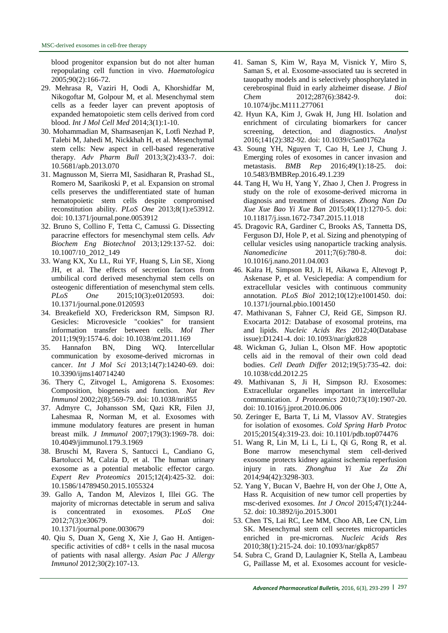blood progenitor expansion but do not alter human repopulating cell function in vivo. *Haematologica* 2005;90(2):166-72.

- <span id="page-4-0"></span>29. Mehrasa R, Vaziri H, Oodi A, Khorshidfar M, Nikogoftar M, Golpour M, et al. Mesenchymal stem cells as a feeder layer can prevent apoptosis of expanded hematopoietic stem cells derived from cord blood. *Int J Mol Cell Med* 2014;3(1):1-10.
- 30. Mohammadian M, Shamsasenjan K, Lotfi Nezhad P, Talebi M, Jahedi M, Nickkhah H, et al. Mesenchymal stem cells: New aspect in cell-based regenerative therapy. *Adv Pharm Bull* 2013;3(2):433-7. doi: 10.5681/apb.2013.070
- <span id="page-4-1"></span>31. Magnusson M, Sierra MI, Sasidharan R, Prashad SL, Romero M, Saarikoski P, et al. Expansion on stromal cells preserves the undifferentiated state of human hematopoietic stem cells despite compromised reconstitution ability. *PLoS One* 2013;8(1):e53912. doi: 10.1371/journal.pone.0053912
- <span id="page-4-2"></span>32. Bruno S, Collino F, Tetta C, Camussi G. Dissecting paracrine effectors for mesenchymal stem cells. *Adv Biochem Eng Biotechnol* 2013;129:137-52. doi: 10.1007/10\_2012\_149
- <span id="page-4-3"></span>33. Wang KX, Xu LL, Rui YF, Huang S, Lin SE, Xiong JH, et al. The effects of secretion factors from umbilical cord derived mesenchymal stem cells on osteogenic differentiation of mesenchymal stem cells. *PLoS One* 2015;10(3):e0120593. doi: 10.1371/journal.pone.0120593
- <span id="page-4-4"></span>34. Breakefield XO, Frederickson RM, Simpson RJ. Gesicles: Microvesicle "cookies" for transient information transfer between cells. *Mol Ther* 2011;19(9):1574-6. doi: 10.1038/mt.2011.169
- <span id="page-4-10"></span>35. Hannafon BN, Ding WQ. Intercellular communication by exosome-derived micrornas in cancer. *Int J Mol Sci* 2013;14(7):14240-69. doi: 10.3390/ijms140714240
- <span id="page-4-15"></span>36. Thery C, Zitvogel L, Amigorena S. Exosomes: Composition, biogenesis and function. *Nat Rev Immunol* 2002;2(8):569-79. doi: 10.1038/nri855
- <span id="page-4-5"></span>37. Admyre C, Johansson SM, Qazi KR, Filen JJ, Lahesmaa R, Norman M, et al. Exosomes with immune modulatory features are present in human breast milk. *J Immunol* 2007;179(3):1969-78. doi: 10.4049/jimmunol.179.3.1969
- 38. Bruschi M, Ravera S, Santucci L, Candiano G, Bartolucci M, Calzia D, et al. The human urinary exosome as a potential metabolic effector cargo. *Expert Rev Proteomics* 2015;12(4):425-32. doi: 10.1586/14789450.2015.1055324
- 39. Gallo A, Tandon M, Alevizos I, Illei GG. The majority of micrornas detectable in serum and saliva is concentrated in exosomes. *PLoS One* 2012;7(3):e30679. doi: 10.1371/journal.pone.0030679
- <span id="page-4-6"></span>40. Qiu S, Duan X, Geng X, Xie J, Gao H. Antigenspecific activities of cd8+ t cells in the nasal mucosa of patients with nasal allergy. *Asian Pac J Allergy Immunol* 2012;30(2):107-13.
- 41. Saman S, Kim W, Raya M, Visnick Y, Miro S, Saman S, et al. Exosome-associated tau is secreted in tauopathy models and is selectively phosphorylated in cerebrospinal fluid in early alzheimer disease. *J Biol Chem* 2012;287(6):3842-9. doi: 10.1074/jbc.M111.277061
- <span id="page-4-7"></span>42. Hyun KA, Kim J, Gwak H, Jung HI. Isolation and enrichment of circulating biomarkers for cancer screening, detection, and diagnostics. *Analyst* 2016;141(2):382-92. doi: 10.1039/c5an01762a
- 43. Soung YH, Nguyen T, Cao H, Lee J, Chung J. Emerging roles of exosomes in cancer invasion and metastasis. *BMB Rep* 2016;49(1):18-25. doi: 10.5483/BMBRep.2016.49.1.239
- 44. Tang H, Wu H, Yang Y, Zhao J, Chen J. Progress in study on the role of exosome-derived microrna in diagnosis and treatment of diseases. *Zhong Nan Da Xue Xue Bao Yi Xue Ban* 2015;40(11):1270-5. doi: 10.11817/j.issn.1672-7347.2015.11.018
- <span id="page-4-8"></span>45. Dragovic RA, Gardiner C, Brooks AS, Tannetta DS, Ferguson DJ, Hole P, et al. Sizing and phenotyping of cellular vesicles using nanoparticle tracking analysis. *Nanomedicine* 2011;7(6):780-8. doi: 10.1016/j.nano.2011.04.003
- 46. Kalra H, Simpson RJ, Ji H, Aikawa E, Altevogt P, Askenase P, et al. Vesiclepedia: A compendium for extracellular vesicles with continuous community annotation. *PLoS Biol* 2012;10(12):e1001450. doi: 10.1371/journal.pbio.1001450
- 47. Mathivanan S, Fahner CJ, Reid GE, Simpson RJ. Exocarta 2012: Database of exosomal proteins, rna and lipids. *Nucleic Acids Res* 2012;40(Database issue):D1241-4. doi: 10.1093/nar/gkr828
- 48. Wickman G, Julian L, Olson MF. How apoptotic cells aid in the removal of their own cold dead bodies. *Cell Death Differ* 2012;19(5):735-42. doi: 10.1038/cdd.2012.25
- <span id="page-4-9"></span>49. Mathivanan S, Ji H, Simpson RJ. Exosomes: Extracellular organelles important in intercellular communication. *J Proteomics* 2010;73(10):1907-20. doi: 10.1016/j.jprot.2010.06.006
- <span id="page-4-11"></span>50. Zeringer E, Barta T, Li M, Vlassov AV. Strategies for isolation of exosomes. *Cold Spring Harb Protoc* 2015;2015(4):319-23. doi: 10.1101/pdb.top074476
- <span id="page-4-12"></span>51. Wang R, Lin M, Li L, Li L, Qi G, Rong R, et al. Bone marrow mesenchymal stem cell-derived exosome protects kidney against ischemia reperfusion injury in rats. *Zhonghua Yi Xue Za Zhi* 2014;94(42):3298-303.
- <span id="page-4-13"></span>52. Yang Y, Bucan V, Baehre H, von der Ohe J, Otte A, Hass R. Acquisition of new tumor cell properties by msc-derived exosomes. *Int J Oncol* 2015;47(1):244- 52. doi: 10.3892/ijo.2015.3001
- <span id="page-4-14"></span>53. Chen TS, Lai RC, Lee MM, Choo AB, Lee CN, Lim SK. Mesenchymal stem cell secretes microparticles enriched in pre-micrornas. *Nucleic Acids Res* 2010;38(1):215-24. doi: 10.1093/nar/gkp857
- 54. Subra C, Grand D, Laulagnier K, Stella A, Lambeau G, Paillasse M, et al. Exosomes account for vesicle-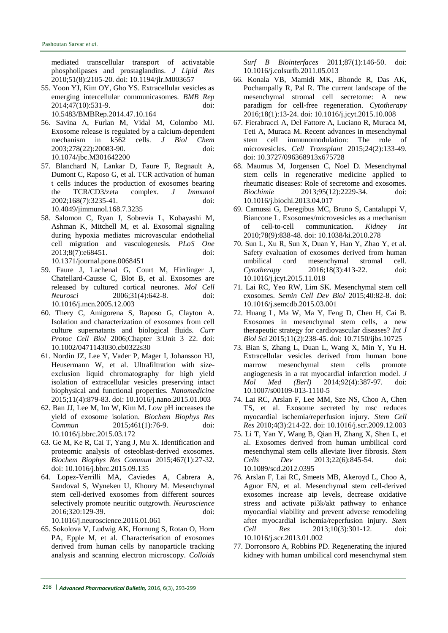mediated transcellular transport of activatable phospholipases and prostaglandins. *J Lipid Res* 2010;51(8):2105-20. doi: 10.1194/jlr.M003657

- 55. Yoon YJ, Kim OY, Gho YS. Extracellular vesicles as emerging intercellular communicasomes. *BMB Rep* 2014;47(10):531-9. doi: 10.5483/BMBRep.2014.47.10.164
- <span id="page-5-0"></span>56. Savina A, Furlan M, Vidal M, Colombo MI. Exosome release is regulated by a calcium-dependent mechanism in k562 cells. *J Biol Chem* 2003;278(22):20083-90. doi: 10.1074/jbc.M301642200
- <span id="page-5-1"></span>57. Blanchard N, Lankar D, Faure F, Regnault A, Dumont C, Raposo G, et al. TCR activation of human t cells induces the production of exosomes bearing the TCR/CD3/zeta complex. *J Immunol* 2002;168(7):3235-41. doi: 10.4049/jimmunol.168.7.3235
- <span id="page-5-2"></span>58. Salomon C, Ryan J, Sobrevia L, Kobayashi M, Ashman K, Mitchell M, et al. Exosomal signaling during hypoxia mediates microvascular endothelial cell migration and vasculogenesis. *PLoS One* 2013;8(7):e68451. doi: 10.1371/journal.pone.0068451
- <span id="page-5-3"></span>59. Faure J, Lachenal G, Court M, Hirrlinger J, Chatellard-Causse C, Blot B, et al. Exosomes are released by cultured cortical neurones. *Mol Cell Neurosci* 2006;31(4):642-8. doi: 10.1016/j.mcn.2005.12.003
- <span id="page-5-4"></span>60. Thery C, Amigorena S, Raposo G, Clayton A. Isolation and characterization of exosomes from cell culture supernatants and biological fluids. *Curr Protoc Cell Biol* 2006;Chapter 3:Unit 3 22. doi: 10.1002/0471143030.cb0322s30
- <span id="page-5-5"></span>61. Nordin JZ, Lee Y, Vader P, Mager I, Johansson HJ, Heusermann W, et al. Ultrafiltration with sizeexclusion liquid chromatography for high yield isolation of extracellular vesicles preserving intact biophysical and functional properties. *Nanomedicine* 2015;11(4):879-83. doi: 10.1016/j.nano.2015.01.003
- <span id="page-5-6"></span>62. Ban JJ, Lee M, Im W, Kim M. Low pH increases the yield of exosome isolation. *Biochem Biophys Res Commun* 2015;461(1):76-9. doi: 10.1016/j.bbrc.2015.03.172
- <span id="page-5-7"></span>63. Ge M, Ke R, Cai T, Yang J, Mu X. Identification and proteomic analysis of osteoblast-derived exosomes. *Biochem Biophys Res Commun* 2015;467(1):27-32. doi: 10.1016/j.bbrc.2015.09.135
- 64. Lopez-Verrilli MA, Caviedes A, Cabrera A, Sandoval S, Wyneken U, Khoury M. Mesenchymal stem cell-derived exosomes from different sources selectively promote neuritic outgrowth. *Neuroscience* 2016;320:129-39. doi:

10.1016/j.neuroscience.2016.01.061

<span id="page-5-9"></span>65. Sokolova V, Ludwig AK, Hornung S, Rotan O, Horn PA, Epple M, et al. Characterisation of exosomes derived from human cells by nanoparticle tracking analysis and scanning electron microscopy. *Colloids* 

*Surf B Biointerfaces* 2011;87(1):146-50. doi: 10.1016/j.colsurfb.2011.05.013

- <span id="page-5-8"></span>66. Konala VB, Mamidi MK, Bhonde R, Das AK, Pochampally R, Pal R. The current landscape of the mesenchymal stromal cell secretome: A new paradigm for cell-free regeneration. *Cytotherapy* 2016;18(1):13-24. doi: 10.1016/j.jcyt.2015.10.008
- <span id="page-5-10"></span>67. Fierabracci A, Del Fattore A, Luciano R, Muraca M, Teti A, Muraca M. Recent advances in mesenchymal stem cell immunomodulation: The role of microvesicles. *Cell Transplant* 2015;24(2):133-49. doi: 10.3727/096368913x675728
- <span id="page-5-11"></span>68. Maumus M, Jorgensen C, Noel D. Mesenchymal stem cells in regenerative medicine applied to rheumatic diseases: Role of secretome and exosomes. *Biochimie* 2013;95(12):2229-34. doi: 10.1016/j.biochi.2013.04.017
- <span id="page-5-12"></span>69. Camussi G, Deregibus MC, Bruno S, Cantaluppi V, Biancone L. Exosomes/microvesicles as a mechanism of cell-to-cell communication. *Kidney Int* 2010;78(9):838-48. doi: 10.1038/ki.2010.278
- <span id="page-5-13"></span>70. Sun L, Xu R, Sun X, Duan Y, Han Y, Zhao Y, et al. Safety evaluation of exosomes derived from human umbilical cord mesenchymal stromal cell. *Cytotherapy* 2016;18(3):413-22. doi: 10.1016/j.jcyt.2015.11.018
- <span id="page-5-14"></span>71. Lai RC, Yeo RW, Lim SK. Mesenchymal stem cell exosomes. *Semin Cell Dev Biol* 2015;40:82-8. doi: 10.1016/j.semcdb.2015.03.001
- <span id="page-5-15"></span>72. Huang L, Ma W, Ma Y, Feng D, Chen H, Cai B. Exosomes in mesenchymal stem cells, a new therapeutic strategy for cardiovascular diseases? *Int J Biol Sci* 2015;11(2):238-45. doi: 10.7150/ijbs.10725
- <span id="page-5-16"></span>73. Bian S, Zhang L, Duan L, Wang X, Min Y, Yu H. Extracellular vesicles derived from human bone marrow mesenchymal stem cells promote angiogenesis in a rat myocardial infarction model. *J Mol Med (Berl)* 2014;92(4):387-97. doi: 10.1007/s00109-013-1110-5
- <span id="page-5-17"></span>74. Lai RC, Arslan F, Lee MM, Sze NS, Choo A, Chen TS, et al. Exosome secreted by msc reduces myocardial ischemia/reperfusion injury. *Stem Cell Res* 2010;4(3):214-22. doi: 10.1016/j.scr.2009.12.003
- <span id="page-5-18"></span>75. Li T, Yan Y, Wang B, Qian H, Zhang X, Shen L, et al. Exosomes derived from human umbilical cord mesenchymal stem cells alleviate liver fibrosis. *Stem Cells Dev* 2013;22(6):845-54. doi: 10.1089/scd.2012.0395
- <span id="page-5-19"></span>76. Arslan F, Lai RC, Smeets MB, Akeroyd L, Choo A, Aguor EN, et al. Mesenchymal stem cell-derived exosomes increase atp levels, decrease oxidative stress and activate pi3k/akt pathway to enhance myocardial viability and prevent adverse remodeling after myocardial ischemia/reperfusion injury. *Stem Cell Res* 2013;10(3):301-12. doi: 10.1016/j.scr.2013.01.002
- <span id="page-5-20"></span>77. Dorronsoro A, Robbins PD. Regenerating the injured kidney with human umbilical cord mesenchymal stem

298 **|** *Advanced Pharmaceutical Bulletin,* 2016, 6(3), 293-299